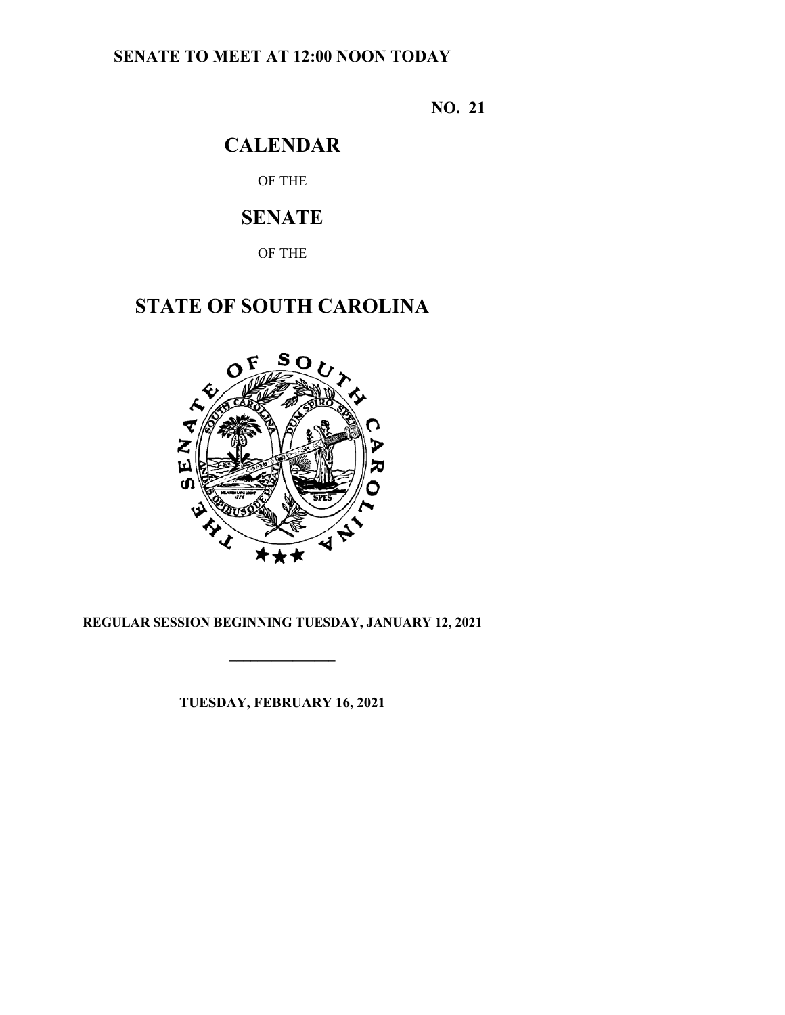### **SENATE TO MEET AT 12:00 NOON TODAY**

**NO. 21**

# **CALENDAR**

OF THE

# **SENATE**

OF THE

# **STATE OF SOUTH CAROLINA**



### **REGULAR SESSION BEGINNING TUESDAY, JANUARY 12, 2021**

**\_\_\_\_\_\_\_\_\_\_\_\_\_\_\_**

**TUESDAY, FEBRUARY 16, 2021**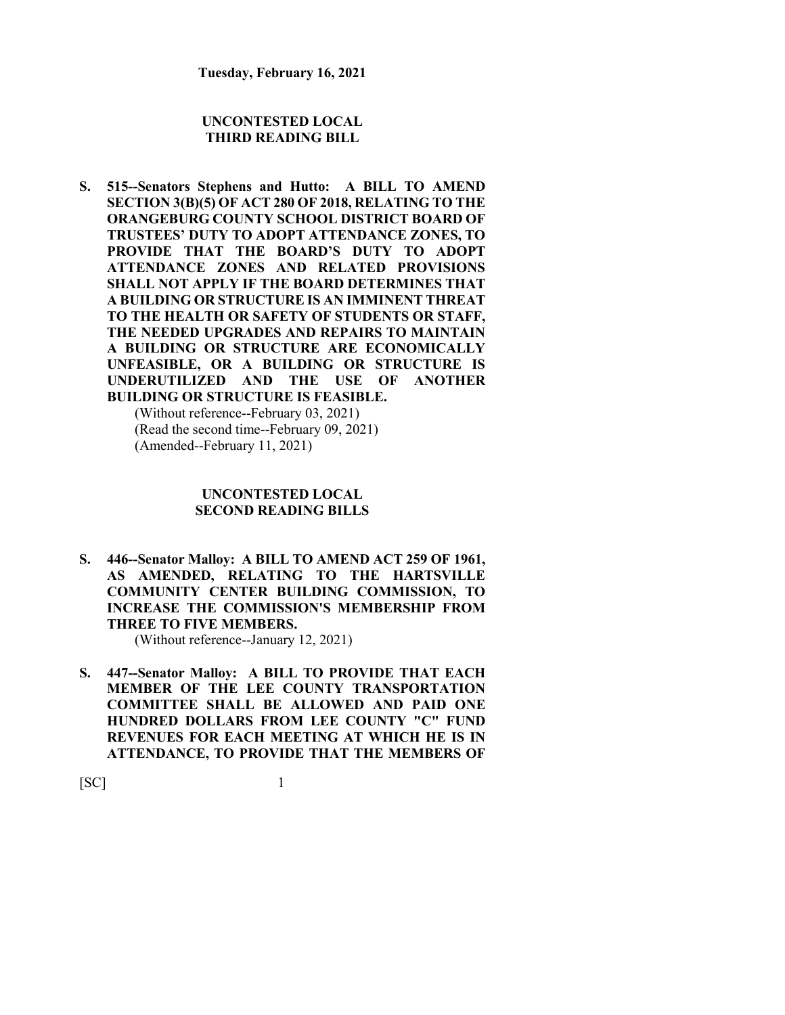#### **UNCONTESTED LOCAL THIRD READING BILL**

**S. 515--Senators Stephens and Hutto: A BILL TO AMEND SECTION 3(B)(5) OF ACT 280 OF 2018, RELATING TO THE ORANGEBURG COUNTY SCHOOL DISTRICT BOARD OF TRUSTEES' DUTY TO ADOPT ATTENDANCE ZONES, TO PROVIDE THAT THE BOARD'S DUTY TO ADOPT ATTENDANCE ZONES AND RELATED PROVISIONS SHALL NOT APPLY IF THE BOARD DETERMINES THAT A BUILDING OR STRUCTURE IS AN IMMINENT THREAT TO THE HEALTH OR SAFETY OF STUDENTS OR STAFF, THE NEEDED UPGRADES AND REPAIRS TO MAINTAIN A BUILDING OR STRUCTURE ARE ECONOMICALLY UNFEASIBLE, OR A BUILDING OR STRUCTURE IS UNDERUTILIZED AND THE USE OF ANOTHER BUILDING OR STRUCTURE IS FEASIBLE.** (Without reference--February 03, 2021) (Read the second time--February 09, 2021)

(Amended--February 11, 2021)

#### **UNCONTESTED LOCAL SECOND READING BILLS**

**S. 446--Senator Malloy: A BILL TO AMEND ACT 259 OF 1961, AS AMENDED, RELATING TO THE HARTSVILLE COMMUNITY CENTER BUILDING COMMISSION, TO INCREASE THE COMMISSION'S MEMBERSHIP FROM THREE TO FIVE MEMBERS.**

(Without reference--January 12, 2021)

**S. 447--Senator Malloy: A BILL TO PROVIDE THAT EACH MEMBER OF THE LEE COUNTY TRANSPORTATION COMMITTEE SHALL BE ALLOWED AND PAID ONE HUNDRED DOLLARS FROM LEE COUNTY "C" FUND REVENUES FOR EACH MEETING AT WHICH HE IS IN ATTENDANCE, TO PROVIDE THAT THE MEMBERS OF**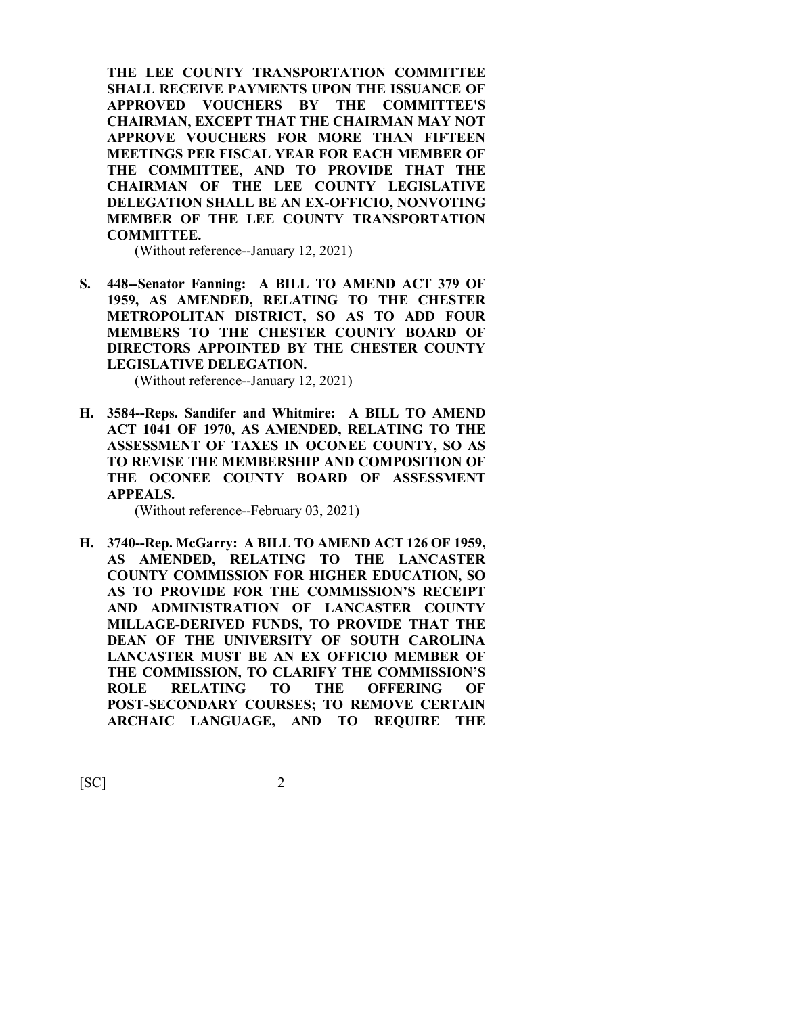**THE LEE COUNTY TRANSPORTATION COMMITTEE SHALL RECEIVE PAYMENTS UPON THE ISSUANCE OF APPROVED VOUCHERS BY THE COMMITTEE'S CHAIRMAN, EXCEPT THAT THE CHAIRMAN MAY NOT APPROVE VOUCHERS FOR MORE THAN FIFTEEN MEETINGS PER FISCAL YEAR FOR EACH MEMBER OF THE COMMITTEE, AND TO PROVIDE THAT THE CHAIRMAN OF THE LEE COUNTY LEGISLATIVE DELEGATION SHALL BE AN EX-OFFICIO, NONVOTING MEMBER OF THE LEE COUNTY TRANSPORTATION COMMITTEE.**

(Without reference--January 12, 2021)

**S. 448--Senator Fanning: A BILL TO AMEND ACT 379 OF 1959, AS AMENDED, RELATING TO THE CHESTER METROPOLITAN DISTRICT, SO AS TO ADD FOUR MEMBERS TO THE CHESTER COUNTY BOARD OF DIRECTORS APPOINTED BY THE CHESTER COUNTY LEGISLATIVE DELEGATION.**

(Without reference--January 12, 2021)

**H. 3584--Reps. Sandifer and Whitmire: A BILL TO AMEND ACT 1041 OF 1970, AS AMENDED, RELATING TO THE ASSESSMENT OF TAXES IN OCONEE COUNTY, SO AS TO REVISE THE MEMBERSHIP AND COMPOSITION OF THE OCONEE COUNTY BOARD OF ASSESSMENT APPEALS.**

(Without reference--February 03, 2021)

**H. 3740--Rep. McGarry: A BILL TO AMEND ACT 126 OF 1959, AS AMENDED, RELATING TO THE LANCASTER COUNTY COMMISSION FOR HIGHER EDUCATION, SO AS TO PROVIDE FOR THE COMMISSION'S RECEIPT AND ADMINISTRATION OF LANCASTER COUNTY MILLAGE-DERIVED FUNDS, TO PROVIDE THAT THE DEAN OF THE UNIVERSITY OF SOUTH CAROLINA LANCASTER MUST BE AN EX OFFICIO MEMBER OF THE COMMISSION, TO CLARIFY THE COMMISSION'S ROLE RELATING TO THE OFFERING OF POST-SECONDARY COURSES; TO REMOVE CERTAIN ARCHAIC LANGUAGE, AND TO REQUIRE THE**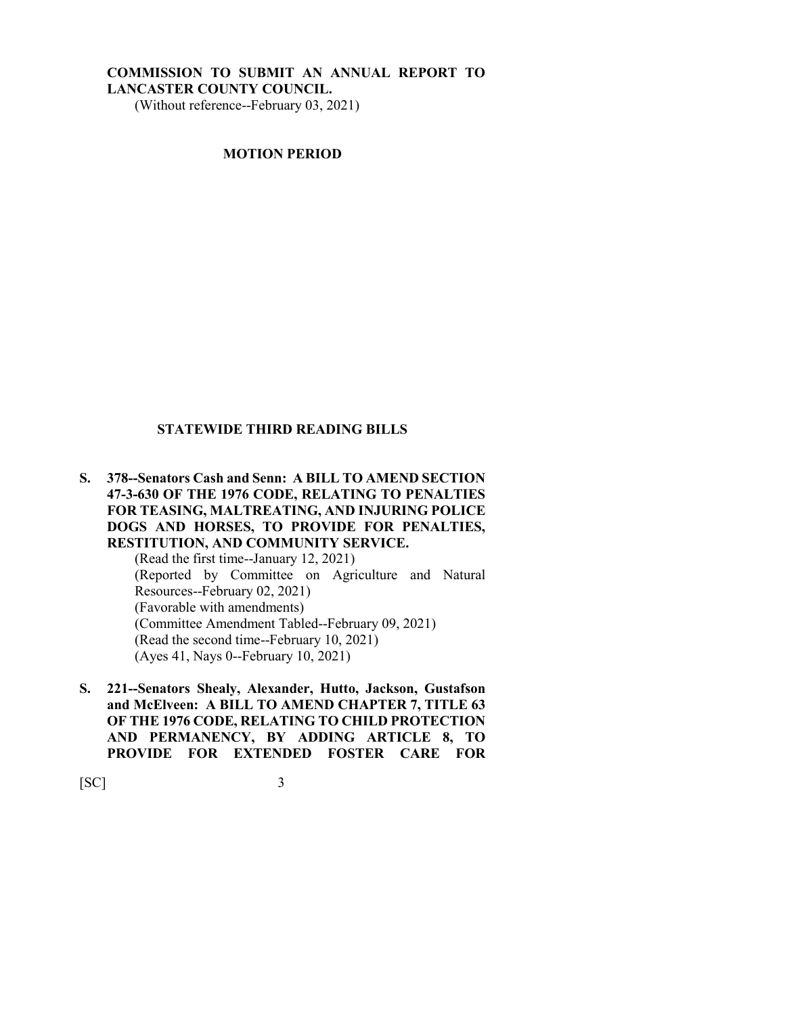#### **COMMISSION TO SUBMIT AN ANNUAL REPORT TO LANCASTER COUNTY COUNCIL.** (Without reference--February 03, 2021)

**MOTION PERIOD**

#### **STATEWIDE THIRD READING BILLS**

**S. 378--Senators Cash and Senn: A BILL TO AMEND SECTION 47-3-630 OF THE 1976 CODE, RELATING TO PENALTIES FOR TEASING, MALTREATING, AND INJURING POLICE DOGS AND HORSES, TO PROVIDE FOR PENALTIES, RESTITUTION, AND COMMUNITY SERVICE.** (Read the first time--January 12, 2021) (Reported by Committee on Agriculture and Natural Resources--February 02, 2021) (Favorable with amendments)

(Committee Amendment Tabled--February 09, 2021)

(Read the second time--February 10, 2021)

(Ayes 41, Nays 0--February 10, 2021)

**S. 221--Senators Shealy, Alexander, Hutto, Jackson, Gustafson and McElveen: A BILL TO AMEND CHAPTER 7, TITLE 63 OF THE 1976 CODE, RELATING TO CHILD PROTECTION AND PERMANENCY, BY ADDING ARTICLE 8, TO PROVIDE FOR EXTENDED FOSTER CARE FOR**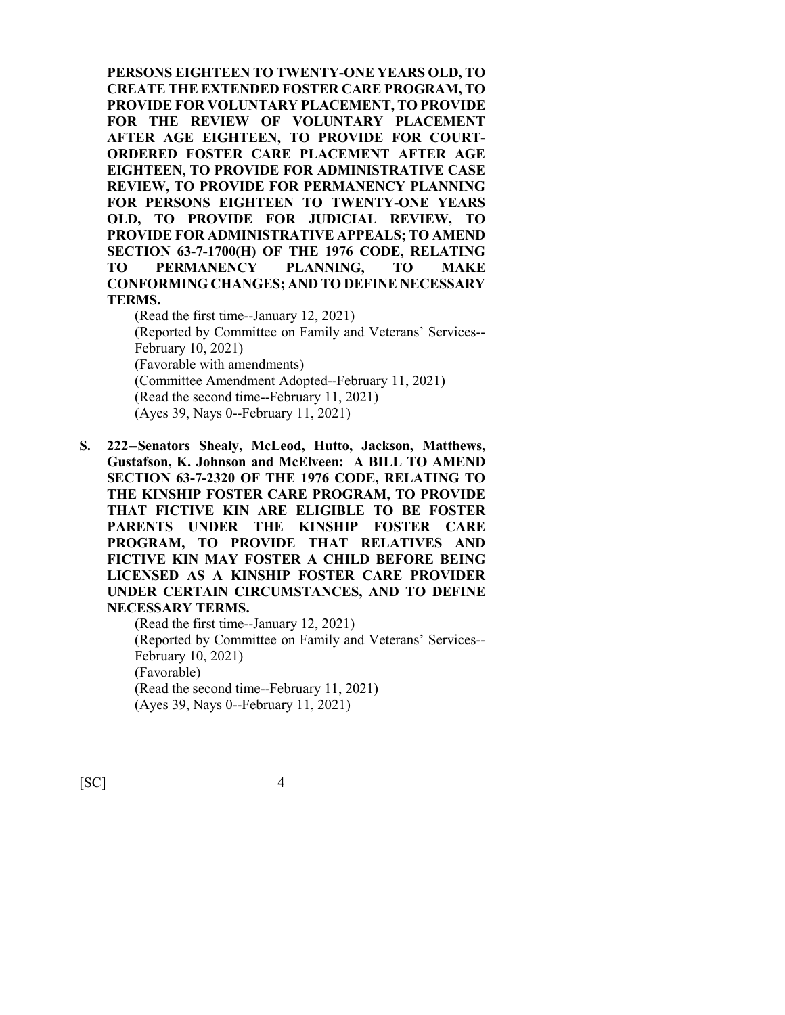**PERSONS EIGHTEEN TO TWENTY-ONE YEARS OLD, TO CREATE THE EXTENDED FOSTER CARE PROGRAM, TO PROVIDE FOR VOLUNTARY PLACEMENT, TO PROVIDE FOR THE REVIEW OF VOLUNTARY PLACEMENT AFTER AGE EIGHTEEN, TO PROVIDE FOR COURT-ORDERED FOSTER CARE PLACEMENT AFTER AGE EIGHTEEN, TO PROVIDE FOR ADMINISTRATIVE CASE REVIEW, TO PROVIDE FOR PERMANENCY PLANNING FOR PERSONS EIGHTEEN TO TWENTY-ONE YEARS OLD, TO PROVIDE FOR JUDICIAL REVIEW, TO PROVIDE FOR ADMINISTRATIVE APPEALS; TO AMEND SECTION 63-7-1700(H) OF THE 1976 CODE, RELATING TO PERMANENCY PLANNING, TO MAKE CONFORMING CHANGES; AND TO DEFINE NECESSARY TERMS.** (Read the first time--January 12, 2021)

(Reported by Committee on Family and Veterans' Services-- February 10, 2021) (Favorable with amendments) (Committee Amendment Adopted--February 11, 2021) (Read the second time--February 11, 2021)

- (Ayes 39, Nays 0--February 11, 2021)
- **S. 222--Senators Shealy, McLeod, Hutto, Jackson, Matthews, Gustafson, K. Johnson and McElveen: A BILL TO AMEND SECTION 63-7-2320 OF THE 1976 CODE, RELATING TO THE KINSHIP FOSTER CARE PROGRAM, TO PROVIDE THAT FICTIVE KIN ARE ELIGIBLE TO BE FOSTER PARENTS UNDER THE KINSHIP FOSTER CARE PROGRAM, TO PROVIDE THAT RELATIVES AND FICTIVE KIN MAY FOSTER A CHILD BEFORE BEING LICENSED AS A KINSHIP FOSTER CARE PROVIDER UNDER CERTAIN CIRCUMSTANCES, AND TO DEFINE NECESSARY TERMS.**

(Read the first time--January 12, 2021) (Reported by Committee on Family and Veterans' Services-- February 10, 2021) (Favorable) (Read the second time--February 11, 2021) (Ayes 39, Nays 0--February 11, 2021)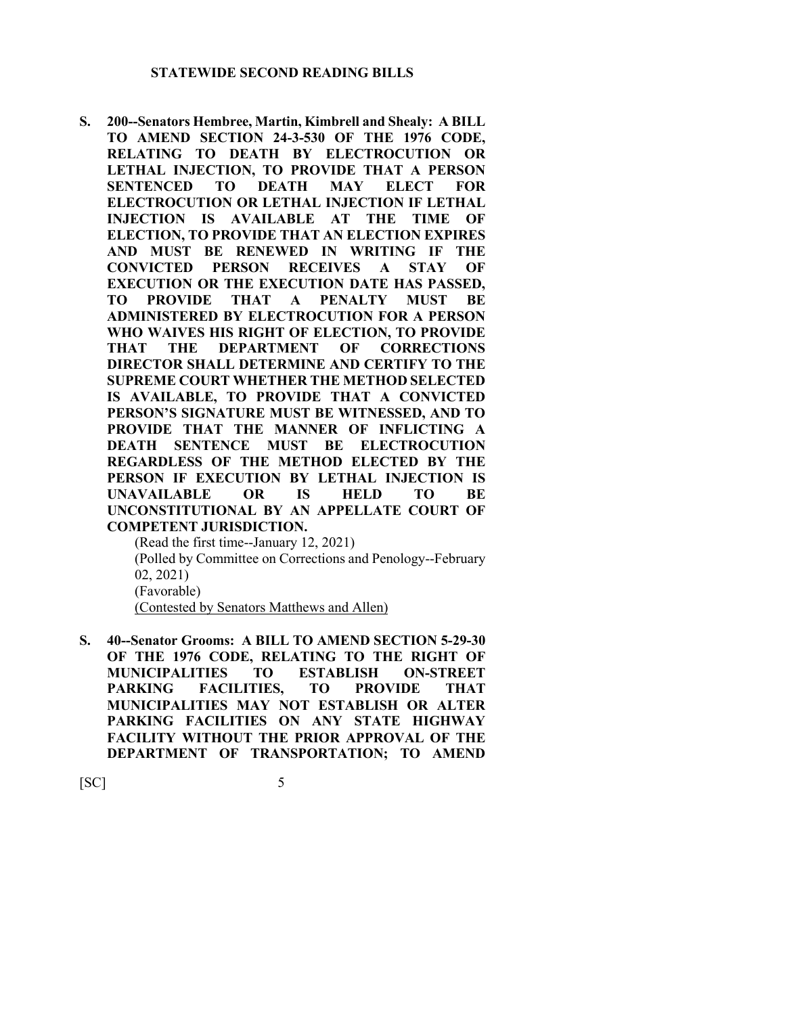**S. 200--Senators Hembree, Martin, Kimbrell and Shealy: A BILL TO AMEND SECTION 24-3-530 OF THE 1976 CODE, RELATING TO DEATH BY ELECTROCUTION OR LETHAL INJECTION, TO PROVIDE THAT A PERSON SENTENCED TO DEATH MAY ELECT FOR ELECTROCUTION OR LETHAL INJECTION IF LETHAL INJECTION IS AVAILABLE AT THE TIME OF ELECTION, TO PROVIDE THAT AN ELECTION EXPIRES AND MUST BE RENEWED IN WRITING IF THE CONVICTED PERSON RECEIVES A STAY OF EXECUTION OR THE EXECUTION DATE HAS PASSED, TO PROVIDE THAT A PENALTY MUST BE ADMINISTERED BY ELECTROCUTION FOR A PERSON WHO WAIVES HIS RIGHT OF ELECTION, TO PROVIDE THAT THE DEPARTMENT OF CORRECTIONS DIRECTOR SHALL DETERMINE AND CERTIFY TO THE SUPREME COURT WHETHER THE METHOD SELECTED IS AVAILABLE, TO PROVIDE THAT A CONVICTED PERSON'S SIGNATURE MUST BE WITNESSED, AND TO PROVIDE THAT THE MANNER OF INFLICTING A DEATH SENTENCE MUST BE ELECTROCUTION REGARDLESS OF THE METHOD ELECTED BY THE PERSON IF EXECUTION BY LETHAL INJECTION IS UNAVAILABLE OR IS HELD TO BE UNCONSTITUTIONAL BY AN APPELLATE COURT OF COMPETENT JURISDICTION.**

(Read the first time--January 12, 2021) (Polled by Committee on Corrections and Penology--February 02, 2021) (Favorable) (Contested by Senators Matthews and Allen)

**S. 40--Senator Grooms: A BILL TO AMEND SECTION 5-29-30 OF THE 1976 CODE, RELATING TO THE RIGHT OF MUNICIPALITIES TO ESTABLISH ON-STREET PARKING FACILITIES, TO PROVIDE THAT MUNICIPALITIES MAY NOT ESTABLISH OR ALTER PARKING FACILITIES ON ANY STATE HIGHWAY FACILITY WITHOUT THE PRIOR APPROVAL OF THE DEPARTMENT OF TRANSPORTATION; TO AMEND**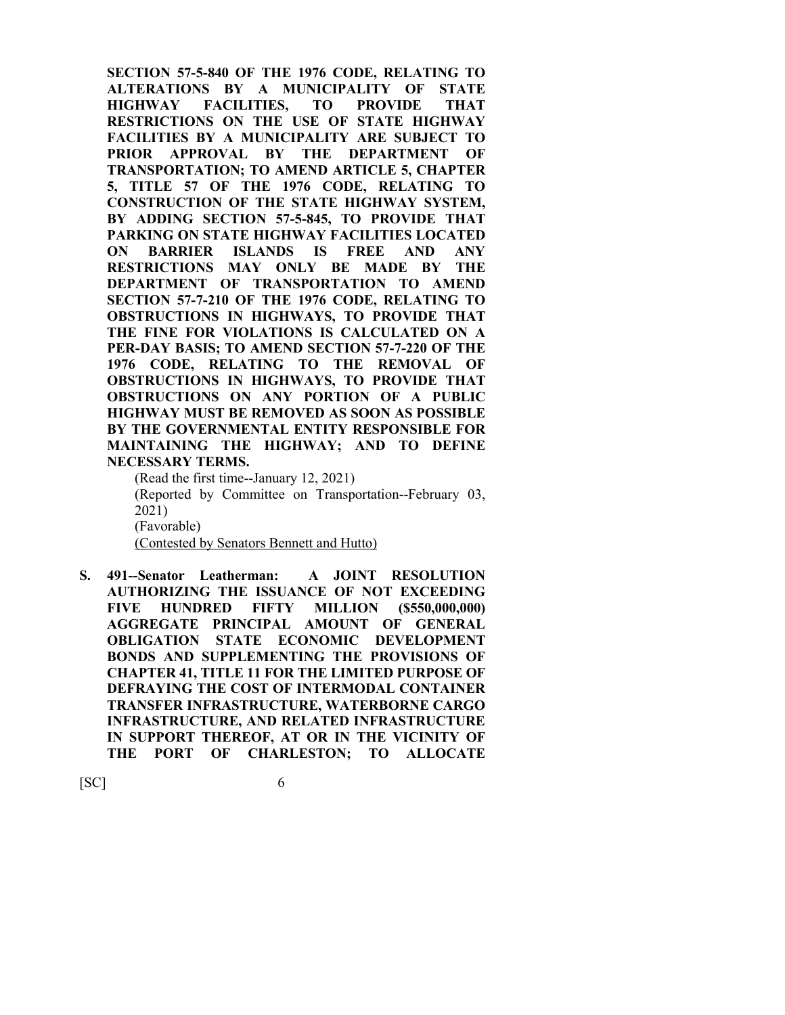**SECTION 57-5-840 OF THE 1976 CODE, RELATING TO ALTERATIONS BY A MUNICIPALITY OF STATE HIGHWAY FACILITIES, TO PROVIDE THAT RESTRICTIONS ON THE USE OF STATE HIGHWAY FACILITIES BY A MUNICIPALITY ARE SUBJECT TO PRIOR APPROVAL BY THE DEPARTMENT OF TRANSPORTATION; TO AMEND ARTICLE 5, CHAPTER 5, TITLE 57 OF THE 1976 CODE, RELATING TO CONSTRUCTION OF THE STATE HIGHWAY SYSTEM, BY ADDING SECTION 57-5-845, TO PROVIDE THAT PARKING ON STATE HIGHWAY FACILITIES LOCATED ON BARRIER ISLANDS IS FREE AND ANY RESTRICTIONS MAY ONLY BE MADE BY THE DEPARTMENT OF TRANSPORTATION TO AMEND SECTION 57-7-210 OF THE 1976 CODE, RELATING TO OBSTRUCTIONS IN HIGHWAYS, TO PROVIDE THAT THE FINE FOR VIOLATIONS IS CALCULATED ON A PER-DAY BASIS; TO AMEND SECTION 57-7-220 OF THE 1976 CODE, RELATING TO THE REMOVAL OF OBSTRUCTIONS IN HIGHWAYS, TO PROVIDE THAT OBSTRUCTIONS ON ANY PORTION OF A PUBLIC HIGHWAY MUST BE REMOVED AS SOON AS POSSIBLE BY THE GOVERNMENTAL ENTITY RESPONSIBLE FOR MAINTAINING THE HIGHWAY; AND TO DEFINE NECESSARY TERMS.**

(Read the first time--January 12, 2021) (Reported by Committee on Transportation--February 03, 2021) (Favorable) (Contested by Senators Bennett and Hutto)

**S. 491--Senator Leatherman: A JOINT RESOLUTION AUTHORIZING THE ISSUANCE OF NOT EXCEEDING FIVE HUNDRED FIFTY MILLION (\$550,000,000) AGGREGATE PRINCIPAL AMOUNT OF GENERAL OBLIGATION STATE ECONOMIC DEVELOPMENT BONDS AND SUPPLEMENTING THE PROVISIONS OF CHAPTER 41, TITLE 11 FOR THE LIMITED PURPOSE OF DEFRAYING THE COST OF INTERMODAL CONTAINER TRANSFER INFRASTRUCTURE, WATERBORNE CARGO INFRASTRUCTURE, AND RELATED INFRASTRUCTURE IN SUPPORT THEREOF, AT OR IN THE VICINITY OF THE PORT OF CHARLESTON; TO ALLOCATE**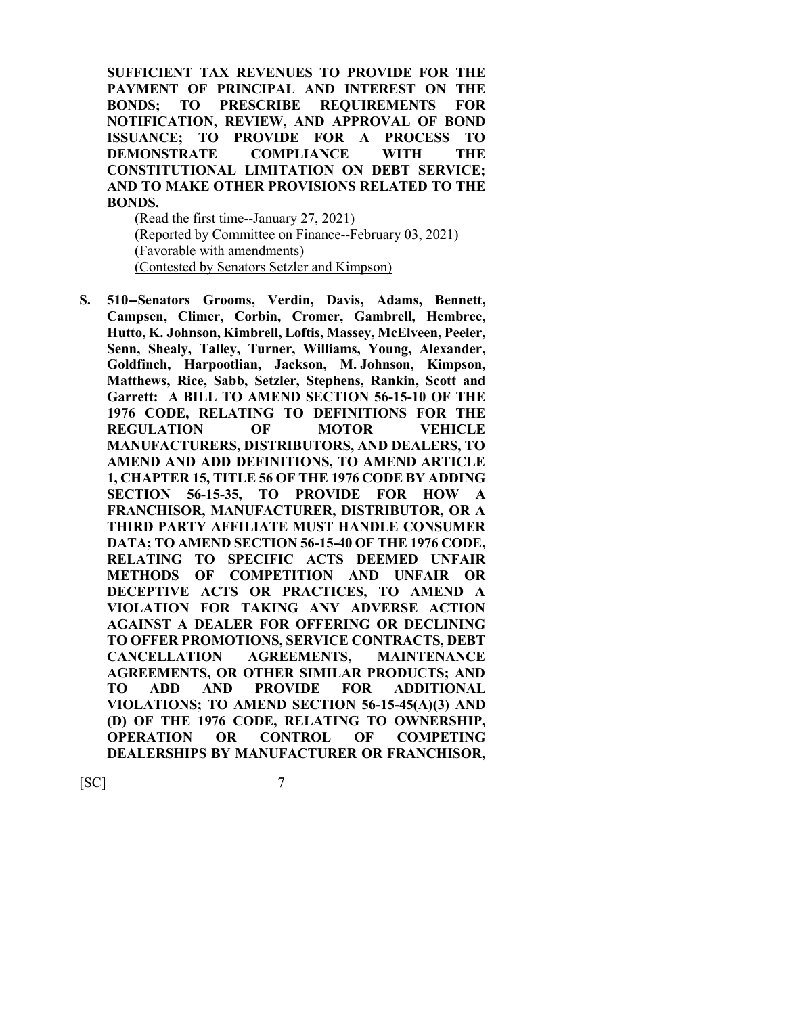**SUFFICIENT TAX REVENUES TO PROVIDE FOR THE PAYMENT OF PRINCIPAL AND INTEREST ON THE BONDS; TO PRESCRIBE REQUIREMENTS FOR NOTIFICATION, REVIEW, AND APPROVAL OF BOND ISSUANCE; TO PROVIDE FOR A PROCESS TO DEMONSTRATE COMPLIANCE WITH THE CONSTITUTIONAL LIMITATION ON DEBT SERVICE; AND TO MAKE OTHER PROVISIONS RELATED TO THE BONDS.**

(Read the first time--January 27, 2021) (Reported by Committee on Finance--February 03, 2021) (Favorable with amendments) (Contested by Senators Setzler and Kimpson)

**S. 510--Senators Grooms, Verdin, Davis, Adams, Bennett, Campsen, Climer, Corbin, Cromer, Gambrell, Hembree, Hutto, K. Johnson, Kimbrell, Loftis, Massey, McElveen, Peeler, Senn, Shealy, Talley, Turner, Williams, Young, Alexander, Goldfinch, Harpootlian, Jackson, M. Johnson, Kimpson, Matthews, Rice, Sabb, Setzler, Stephens, Rankin, Scott and Garrett: A BILL TO AMEND SECTION 56-15-10 OF THE 1976 CODE, RELATING TO DEFINITIONS FOR THE REGULATION OF MOTOR VEHICLE MANUFACTURERS, DISTRIBUTORS, AND DEALERS, TO AMEND AND ADD DEFINITIONS, TO AMEND ARTICLE 1, CHAPTER 15, TITLE 56 OF THE 1976 CODE BY ADDING SECTION 56-15-35, TO PROVIDE FOR HOW A FRANCHISOR, MANUFACTURER, DISTRIBUTOR, OR A THIRD PARTY AFFILIATE MUST HANDLE CONSUMER DATA; TO AMEND SECTION 56-15-40 OF THE 1976 CODE, RELATING TO SPECIFIC ACTS DEEMED UNFAIR METHODS OF COMPETITION AND UNFAIR OR DECEPTIVE ACTS OR PRACTICES, TO AMEND A VIOLATION FOR TAKING ANY ADVERSE ACTION AGAINST A DEALER FOR OFFERING OR DECLINING TO OFFER PROMOTIONS, SERVICE CONTRACTS, DEBT CANCELLATION AGREEMENTS, MAINTENANCE AGREEMENTS, OR OTHER SIMILAR PRODUCTS; AND TO ADD AND PROVIDE FOR ADDITIONAL VIOLATIONS; TO AMEND SECTION 56-15-45(A)(3) AND (D) OF THE 1976 CODE, RELATING TO OWNERSHIP, OPERATION OR CONTROL OF COMPETING DEALERSHIPS BY MANUFACTURER OR FRANCHISOR,**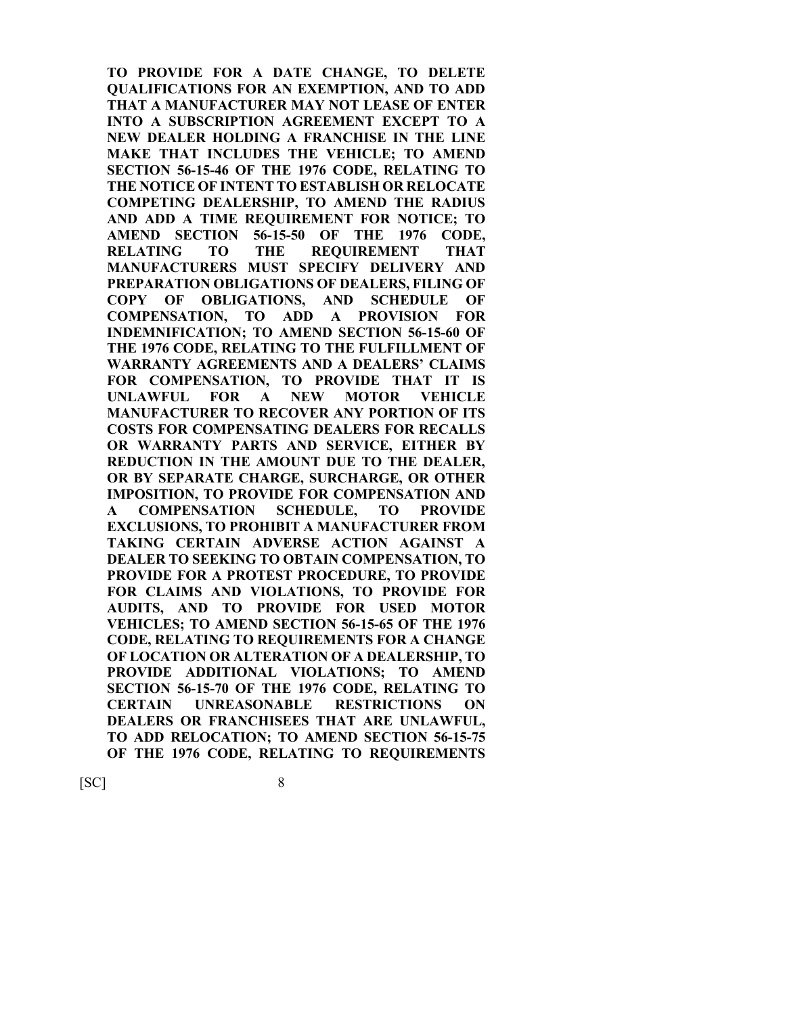**TO PROVIDE FOR A DATE CHANGE, TO DELETE QUALIFICATIONS FOR AN EXEMPTION, AND TO ADD THAT A MANUFACTURER MAY NOT LEASE OF ENTER INTO A SUBSCRIPTION AGREEMENT EXCEPT TO A NEW DEALER HOLDING A FRANCHISE IN THE LINE MAKE THAT INCLUDES THE VEHICLE; TO AMEND SECTION 56-15-46 OF THE 1976 CODE, RELATING TO THE NOTICE OF INTENT TO ESTABLISH OR RELOCATE COMPETING DEALERSHIP, TO AMEND THE RADIUS AND ADD A TIME REQUIREMENT FOR NOTICE; TO AMEND SECTION 56-15-50 OF THE 1976 CODE, RELATING TO THE REQUIREMENT THAT MANUFACTURERS MUST SPECIFY DELIVERY AND PREPARATION OBLIGATIONS OF DEALERS, FILING OF COPY OF OBLIGATIONS, AND SCHEDULE OF COMPENSATION, TO ADD A PROVISION FOR INDEMNIFICATION; TO AMEND SECTION 56-15-60 OF THE 1976 CODE, RELATING TO THE FULFILLMENT OF WARRANTY AGREEMENTS AND A DEALERS' CLAIMS FOR COMPENSATION, TO PROVIDE THAT IT IS UNLAWFUL FOR A NEW MOTOR VEHICLE MANUFACTURER TO RECOVER ANY PORTION OF ITS COSTS FOR COMPENSATING DEALERS FOR RECALLS OR WARRANTY PARTS AND SERVICE, EITHER BY REDUCTION IN THE AMOUNT DUE TO THE DEALER, OR BY SEPARATE CHARGE, SURCHARGE, OR OTHER IMPOSITION, TO PROVIDE FOR COMPENSATION AND A COMPENSATION SCHEDULE, TO PROVIDE EXCLUSIONS, TO PROHIBIT A MANUFACTURER FROM TAKING CERTAIN ADVERSE ACTION AGAINST A DEALER TO SEEKING TO OBTAIN COMPENSATION, TO PROVIDE FOR A PROTEST PROCEDURE, TO PROVIDE FOR CLAIMS AND VIOLATIONS, TO PROVIDE FOR AUDITS, AND TO PROVIDE FOR USED MOTOR VEHICLES; TO AMEND SECTION 56-15-65 OF THE 1976 CODE, RELATING TO REQUIREMENTS FOR A CHANGE OF LOCATION OR ALTERATION OF A DEALERSHIP, TO PROVIDE ADDITIONAL VIOLATIONS; TO AMEND SECTION 56-15-70 OF THE 1976 CODE, RELATING TO CERTAIN UNREASONABLE RESTRICTIONS ON DEALERS OR FRANCHISEES THAT ARE UNLAWFUL, TO ADD RELOCATION; TO AMEND SECTION 56-15-75 OF THE 1976 CODE, RELATING TO REQUIREMENTS**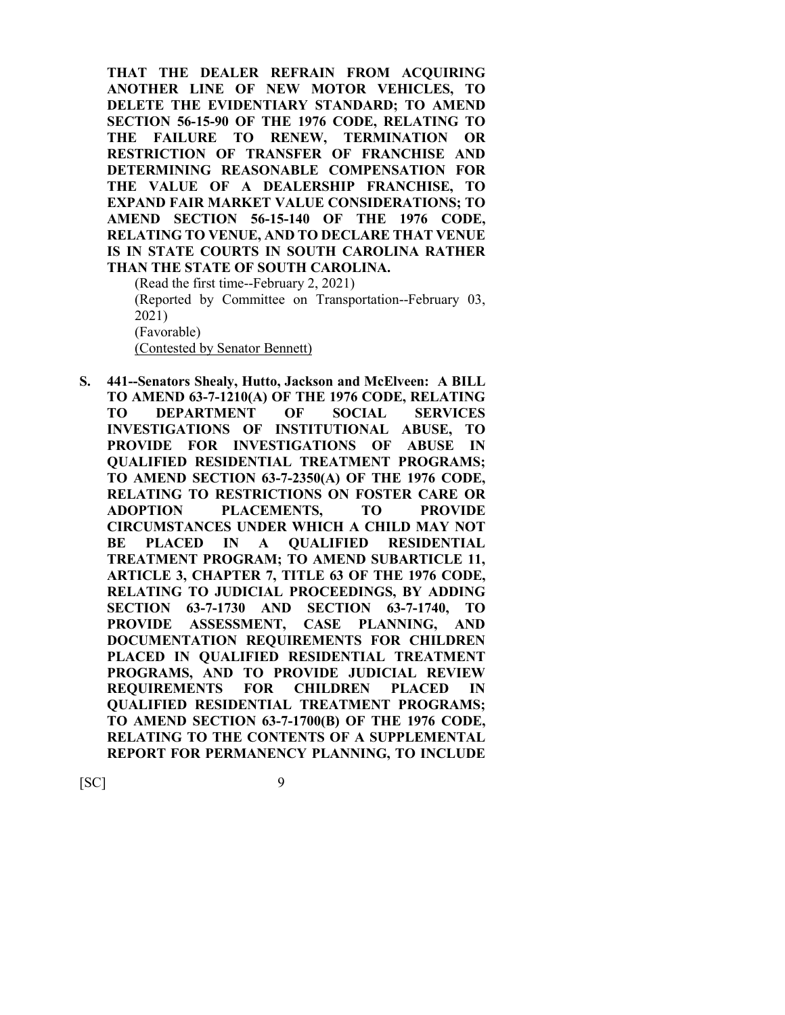**THAT THE DEALER REFRAIN FROM ACQUIRING ANOTHER LINE OF NEW MOTOR VEHICLES, TO DELETE THE EVIDENTIARY STANDARD; TO AMEND SECTION 56-15-90 OF THE 1976 CODE, RELATING TO THE FAILURE TO RENEW, TERMINATION OR RESTRICTION OF TRANSFER OF FRANCHISE AND DETERMINING REASONABLE COMPENSATION FOR THE VALUE OF A DEALERSHIP FRANCHISE, TO EXPAND FAIR MARKET VALUE CONSIDERATIONS; TO AMEND SECTION 56-15-140 OF THE 1976 CODE, RELATING TO VENUE, AND TO DECLARE THAT VENUE IS IN STATE COURTS IN SOUTH CAROLINA RATHER THAN THE STATE OF SOUTH CAROLINA.**

(Read the first time--February 2, 2021) (Reported by Committee on Transportation--February 03, 2021) (Favorable) (Contested by Senator Bennett)

**S. 441--Senators Shealy, Hutto, Jackson and McElveen: A BILL TO AMEND 63-7-1210(A) OF THE 1976 CODE, RELATING TO DEPARTMENT OF SOCIAL SERVICES INVESTIGATIONS OF INSTITUTIONAL ABUSE, TO PROVIDE FOR INVESTIGATIONS OF ABUSE IN QUALIFIED RESIDENTIAL TREATMENT PROGRAMS; TO AMEND SECTION 63-7-2350(A) OF THE 1976 CODE, RELATING TO RESTRICTIONS ON FOSTER CARE OR ADOPTION PLACEMENTS, TO PROVIDE CIRCUMSTANCES UNDER WHICH A CHILD MAY NOT BE PLACED IN A QUALIFIED RESIDENTIAL TREATMENT PROGRAM; TO AMEND SUBARTICLE 11, ARTICLE 3, CHAPTER 7, TITLE 63 OF THE 1976 CODE, RELATING TO JUDICIAL PROCEEDINGS, BY ADDING SECTION 63-7-1730 AND SECTION 63-7-1740, TO PROVIDE ASSESSMENT, CASE PLANNING, AND DOCUMENTATION REQUIREMENTS FOR CHILDREN PLACED IN QUALIFIED RESIDENTIAL TREATMENT PROGRAMS, AND TO PROVIDE JUDICIAL REVIEW REQUIREMENTS FOR CHILDREN PLACED IN QUALIFIED RESIDENTIAL TREATMENT PROGRAMS; TO AMEND SECTION 63-7-1700(B) OF THE 1976 CODE, RELATING TO THE CONTENTS OF A SUPPLEMENTAL REPORT FOR PERMANENCY PLANNING, TO INCLUDE**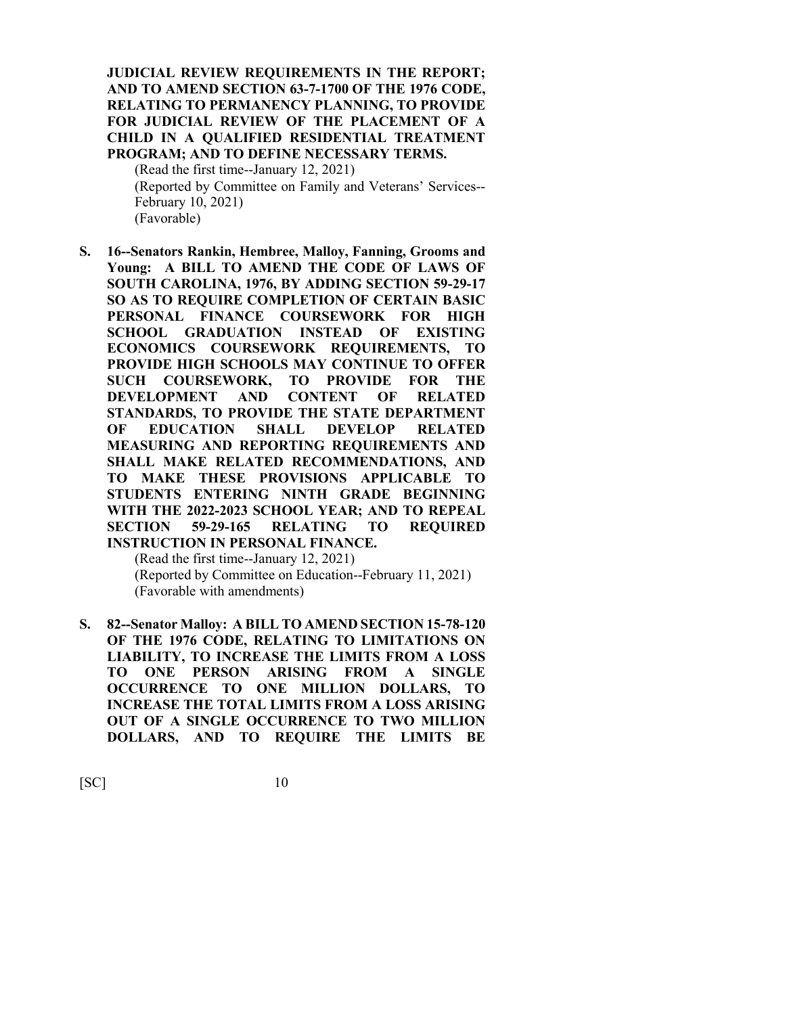#### **JUDICIAL REVIEW REQUIREMENTS IN THE REPORT; AND TO AMEND SECTION 63-7-1700 OF THE 1976 CODE, RELATING TO PERMANENCY PLANNING, TO PROVIDE FOR JUDICIAL REVIEW OF THE PLACEMENT OF A CHILD IN A QUALIFIED RESIDENTIAL TREATMENT PROGRAM; AND TO DEFINE NECESSARY TERMS.**

(Read the first time--January 12, 2021) (Reported by Committee on Family and Veterans' Services-- February 10, 2021) (Favorable)

**S. 16--Senators Rankin, Hembree, Malloy, Fanning, Grooms and Young: A BILL TO AMEND THE CODE OF LAWS OF SOUTH CAROLINA, 1976, BY ADDING SECTION 59-29-17 SO AS TO REQUIRE COMPLETION OF CERTAIN BASIC PERSONAL FINANCE COURSEWORK FOR HIGH SCHOOL GRADUATION INSTEAD OF EXISTING ECONOMICS COURSEWORK REQUIREMENTS, TO PROVIDE HIGH SCHOOLS MAY CONTINUE TO OFFER SUCH COURSEWORK, TO PROVIDE FOR THE DEVELOPMENT AND CONTENT OF RELATED STANDARDS, TO PROVIDE THE STATE DEPARTMENT OF EDUCATION SHALL DEVELOP RELATED MEASURING AND REPORTING REQUIREMENTS AND SHALL MAKE RELATED RECOMMENDATIONS, AND TO MAKE THESE PROVISIONS APPLICABLE TO STUDENTS ENTERING NINTH GRADE BEGINNING WITH THE 2022-2023 SCHOOL YEAR; AND TO REPEAL SECTION 59-29-165 RELATING TO REQUIRED INSTRUCTION IN PERSONAL FINANCE.**

(Read the first time--January 12, 2021) (Reported by Committee on Education--February 11, 2021) (Favorable with amendments)

**S. 82--Senator Malloy: A BILL TO AMEND SECTION 15-78-120 OF THE 1976 CODE, RELATING TO LIMITATIONS ON LIABILITY, TO INCREASE THE LIMITS FROM A LOSS TO ONE PERSON ARISING FROM A SINGLE OCCURRENCE TO ONE MILLION DOLLARS, TO INCREASE THE TOTAL LIMITS FROM A LOSS ARISING OUT OF A SINGLE OCCURRENCE TO TWO MILLION DOLLARS, AND TO REQUIRE THE LIMITS BE**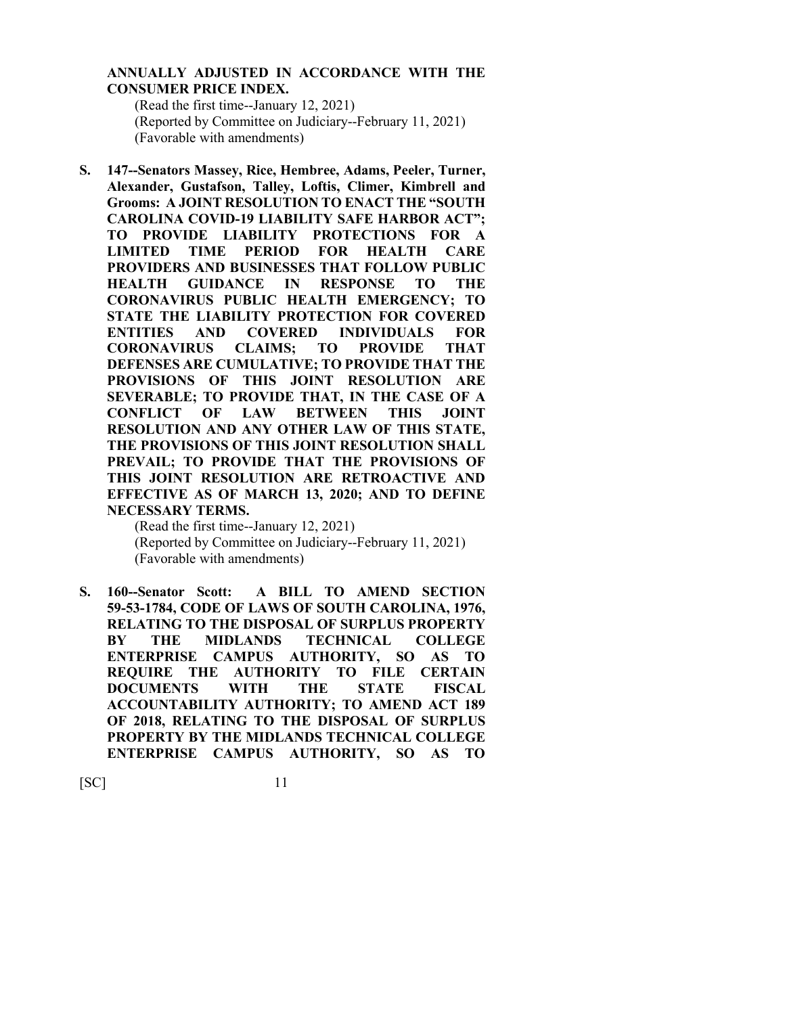#### **ANNUALLY ADJUSTED IN ACCORDANCE WITH THE CONSUMER PRICE INDEX.**

(Read the first time--January 12, 2021) (Reported by Committee on Judiciary--February 11, 2021) (Favorable with amendments)

**S. 147--Senators Massey, Rice, Hembree, Adams, Peeler, Turner, Alexander, Gustafson, Talley, Loftis, Climer, Kimbrell and Grooms: A JOINT RESOLUTION TO ENACT THE "SOUTH CAROLINA COVID-19 LIABILITY SAFE HARBOR ACT"; TO PROVIDE LIABILITY PROTECTIONS FOR A LIMITED TIME PERIOD FOR HEALTH CARE PROVIDERS AND BUSINESSES THAT FOLLOW PUBLIC HEALTH GUIDANCE IN RESPONSE TO THE CORONAVIRUS PUBLIC HEALTH EMERGENCY; TO STATE THE LIABILITY PROTECTION FOR COVERED ENTITIES AND COVERED INDIVIDUALS FOR CORONAVIRUS CLAIMS; TO PROVIDE THAT DEFENSES ARE CUMULATIVE; TO PROVIDE THAT THE PROVISIONS OF THIS JOINT RESOLUTION ARE SEVERABLE; TO PROVIDE THAT, IN THE CASE OF A CONFLICT OF LAW BETWEEN THIS JOINT RESOLUTION AND ANY OTHER LAW OF THIS STATE, THE PROVISIONS OF THIS JOINT RESOLUTION SHALL PREVAIL; TO PROVIDE THAT THE PROVISIONS OF THIS JOINT RESOLUTION ARE RETROACTIVE AND EFFECTIVE AS OF MARCH 13, 2020; AND TO DEFINE NECESSARY TERMS.**

(Read the first time--January 12, 2021) (Reported by Committee on Judiciary--February 11, 2021) (Favorable with amendments)

**S. 160--Senator Scott: A BILL TO AMEND SECTION 59-53-1784, CODE OF LAWS OF SOUTH CAROLINA, 1976, RELATING TO THE DISPOSAL OF SURPLUS PROPERTY BY THE MIDLANDS TECHNICAL COLLEGE ENTERPRISE CAMPUS AUTHORITY, SO AS TO REQUIRE THE AUTHORITY TO FILE CERTAIN DOCUMENTS WITH THE STATE FISCAL ACCOUNTABILITY AUTHORITY; TO AMEND ACT 189 OF 2018, RELATING TO THE DISPOSAL OF SURPLUS PROPERTY BY THE MIDLANDS TECHNICAL COLLEGE ENTERPRISE CAMPUS AUTHORITY, SO AS TO**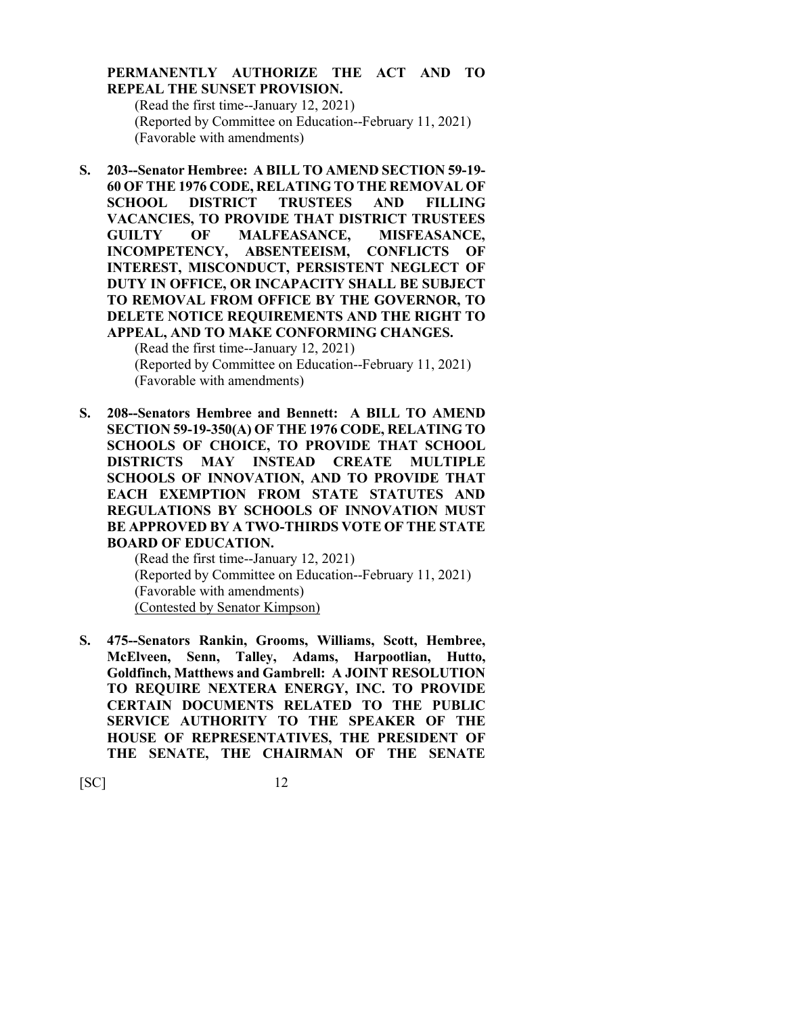#### **PERMANENTLY AUTHORIZE THE ACT AND TO REPEAL THE SUNSET PROVISION.**

(Read the first time--January 12, 2021) (Reported by Committee on Education--February 11, 2021) (Favorable with amendments)

**S. 203--Senator Hembree: A BILL TO AMEND SECTION 59-19- 60 OF THE 1976 CODE, RELATING TO THE REMOVAL OF SCHOOL DISTRICT TRUSTEES AND FILLING VACANCIES, TO PROVIDE THAT DISTRICT TRUSTEES GUILTY OF MALFEASANCE, MISFEASANCE, INCOMPETENCY, ABSENTEEISM, CONFLICTS OF INTEREST, MISCONDUCT, PERSISTENT NEGLECT OF DUTY IN OFFICE, OR INCAPACITY SHALL BE SUBJECT TO REMOVAL FROM OFFICE BY THE GOVERNOR, TO DELETE NOTICE REQUIREMENTS AND THE RIGHT TO APPEAL, AND TO MAKE CONFORMING CHANGES.**

(Read the first time--January 12, 2021) (Reported by Committee on Education--February 11, 2021) (Favorable with amendments)

**S. 208--Senators Hembree and Bennett: A BILL TO AMEND SECTION 59-19-350(A) OF THE 1976 CODE, RELATING TO SCHOOLS OF CHOICE, TO PROVIDE THAT SCHOOL DISTRICTS MAY INSTEAD CREATE MULTIPLE SCHOOLS OF INNOVATION, AND TO PROVIDE THAT EACH EXEMPTION FROM STATE STATUTES AND REGULATIONS BY SCHOOLS OF INNOVATION MUST BE APPROVED BY A TWO-THIRDS VOTE OF THE STATE BOARD OF EDUCATION.**

(Read the first time--January 12, 2021) (Reported by Committee on Education--February 11, 2021) (Favorable with amendments) (Contested by Senator Kimpson)

**S. 475--Senators Rankin, Grooms, Williams, Scott, Hembree, McElveen, Senn, Talley, Adams, Harpootlian, Hutto, Goldfinch, Matthews and Gambrell: A JOINT RESOLUTION TO REQUIRE NEXTERA ENERGY, INC. TO PROVIDE CERTAIN DOCUMENTS RELATED TO THE PUBLIC SERVICE AUTHORITY TO THE SPEAKER OF THE HOUSE OF REPRESENTATIVES, THE PRESIDENT OF THE SENATE, THE CHAIRMAN OF THE SENATE**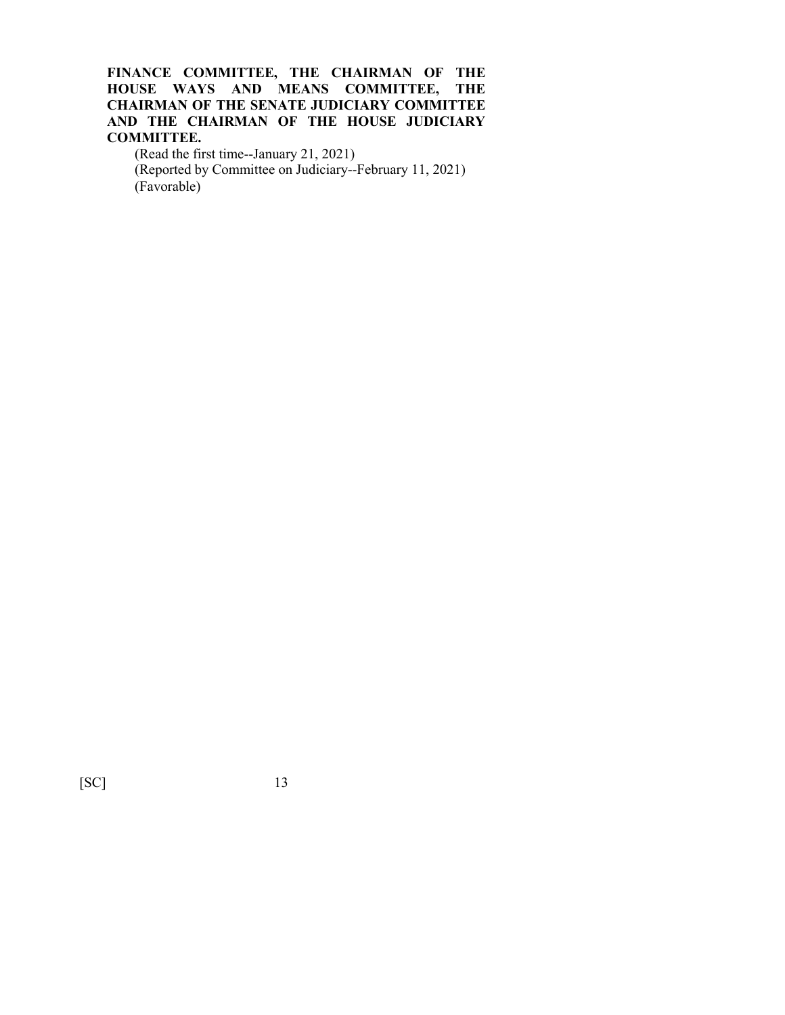#### **FINANCE COMMITTEE, THE CHAIRMAN OF THE HOUSE WAYS AND MEANS COMMITTEE, THE CHAIRMAN OF THE SENATE JUDICIARY COMMITTEE AND THE CHAIRMAN OF THE HOUSE JUDICIARY COMMITTEE.**

(Read the first time--January 21, 2021) (Reported by Committee on Judiciary--February 11, 2021) (Favorable)